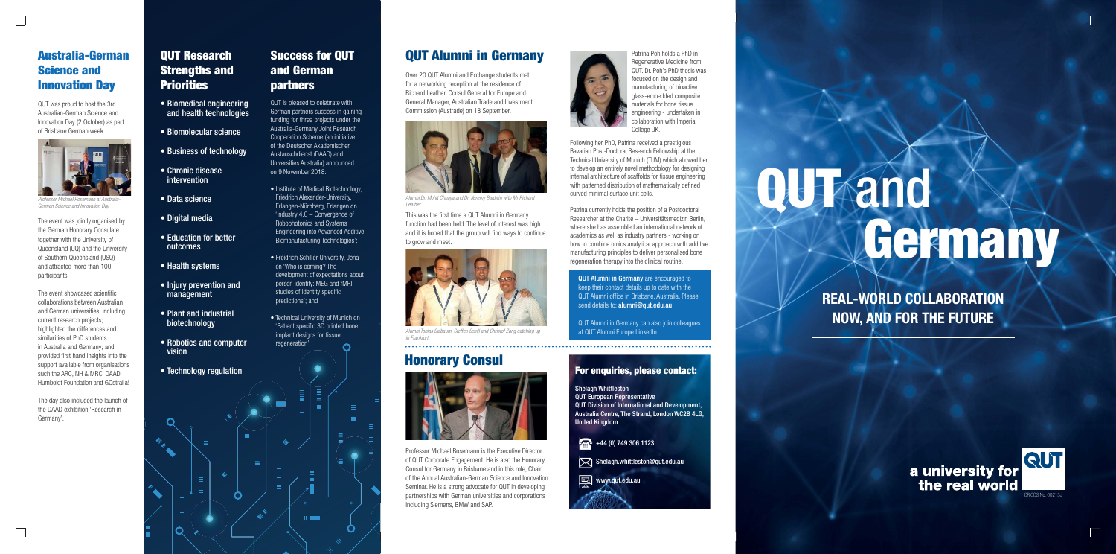### **QUT Research Strengths and Priorities**

- Biomedical engineering and health technologies
- Biomolecular science
- Business of technology
- Chronic disease intervention
- Data science
- Digital media
- Education for better outcomes
- Health systems
- **Injury prevention and** management
- Plant and industrial biotechnology
- Robotics and computer vision
- Technology regulation

The event showcased scientific collaborations between Australian and German universities, including current research projects; highlighted the differences and similarities of PhD students in Australia and Germany; and provided first hand insights into the support available from organisations such the ARC, NH & MRC, DAAD, Humboldt Foundation and GOstralia!

The event was jointly organised by the German Honorary Consulate together with the University of Queensland (UQ) and the University of Southern Queensland (USQ) and attracted more than 100 participants.

- Institute of Medical Biotechnology, Friedrich Alexander-University, Erlangen-Nürnberg, Erlangen on 'Industry 4.0 – Convergence of Robophotonics and Systems Engineering into Advanced Additive Biomanufacturing Technologies';
- Freidrich Schiller University, Jena on 'Who is coming? The development of expectations about person identity: MEG and fMRI studies of identity specific predictions'; and
- Technical University of Munich on 'Patient specific 3D printed bone implant designs for tissue regeneration'.  $\overline{O}$

 $\mathbf{H}$  and  $\mathbf{H}$ 

The day also included the launch of the DAAD exhibition 'Research in Germany'.

### **Australia-German Science and Innovation Day**

QUT was proud to host the 3rd Australian-German Science and Innovation Day (2 October) as part of Brisbane German week.



Professor Michael Rosemann at Australia-German Science and Innovation Day

QUT is pleased to celebrate with German partners success in gaining funding for three projects under the Australia-Germany Joint Research Cooperation Scheme (an initiative of the Deutscher Akademischer Austauschdienst (DAAD) and Universities Australia) announced on 9 November 2018:

> QUT Alumni in Germany are encouraged to keep their contact details up to date with the QUT Alumni office in Brisbane, Australia, Please send details to: alumni@qut.edu.au

### **Success for QUT and German partners**



albaum, Steffen Schill and Christof Zang catching up **at QUT Alumni Europe LinkedIn.** in Frankfurt.

# **Honorary Consul<br>
For enquiries, please contact:**



Professor Michael Rosemann is the Executive Director of QUT Corporate Engagement. He is also the Honorary Consul for Germany in Brisbane and in this role, Chair of the Annual Australian-German Science and Innovation Seminar. He is a strong advocate for QUT in developing partnerships with German universities and corporations including Siemens, BMW and SAP.

# "言" **E**  $\sim$





Shelagh Whittleston QUT European Representative QUT Division of International and Development, Australia Centre, The Strand, London WC2B 4LG, United Kingdom



 $\sqrt{\times}$  Shelagh.whittleston@qut.edu.au

 $\boxed{\boxdot}$  www.qut.edu.au

a university for the real world



Over 20 QUT Alumni and Exchange students met for a networking reception at the residence of Richard Leather, Consul General for Europe and General Manager, Australian Trade and Investment Commission (Austrade) on 18 September.

## **QUT Alumni in Germany**



Alumni Dr. Mohit Chhaya and Dr. Jeremy Baldwin with Mr Richard Leather.

This was the first time a QUT Alumni in Germany function had been held. The level of interest was high and it is hoped that the group will find ways to continue to grow and meet.

Following her PhD, Patrina received a prestigious Bavarian Post-Doctoral Research Fellowship at the Technical University of Munich (TUM) which allowed her to develop an entirely novel methodology for designing internal architecture of scaffolds for tissue engineering with patterned distribution of mathematically defined curved minimal surface unit cells.

Patrina currently holds the position of a Postdoctoral Researcher at the Charité – Universitätsmedizin Berlin, where she has assembled an international network of academics as well as industry partners - working on how to combine omics analytical approach with additive manufacturing principles to deliver personalised bone regeneration therapy into the clinical routine.

QUT Alumni in Germany can also join colleagues

Patrina Poh holds a PhD in Regenerative Medicine from QUT. Dr. Poh's PhD thesis was focused on the design and manufacturing of bioactive glass-embedded composite materials for bone tissue engineering - undertaken in collaboration with Imperial College UK.

> **QUT** and **Germany**

> > **REAL-WORLD COLLABORATION NOW, AND FOR THE FUTURE**



### CRICOS No. 00213J